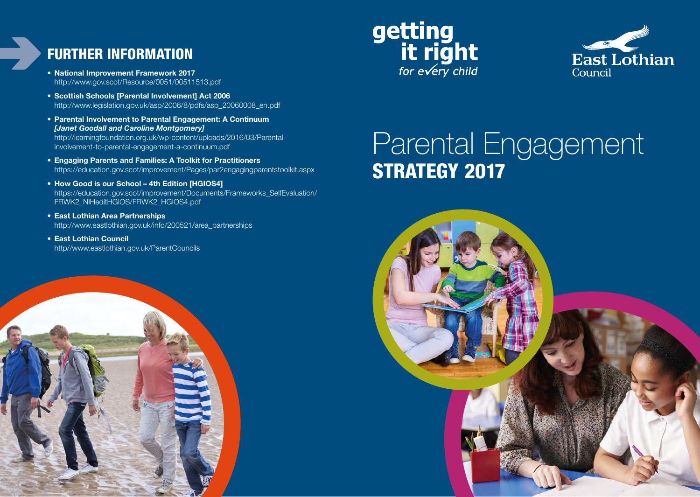#### FURTHER INFORMATION

- **• National Improvement Framework 2017**  http://www.gov.scot/Resource/0051/00511513.pdf
- **• Scottish Schools [Parental Involvement] Act 2006**  http://www.legislation.gov.uk/asp/2006/8/pdfs/asp\_20060008\_en.pdf
- **• Parental Involvement to Parental Engagement: A Continuum**  *[Janet Goodall and Caroline Montgomery]*  http://learningfoundation.org.uk/wp-content/uploads/2016/03/Parentalinvolvement-to-parental-engagement-a-continuum.pdf
- **• Engaging Parents and Families: A Toolkit for Practitioners**  https://education.gov.scot/improvement/Pages/par2engagingparentstoolkit.aspx
- **• How Good is our School 4th Edition [HGIOS4]**  [https://education.gov.scot/improvement/Documents/Frameworks\\_SelfEvaluation/](https://education.gov.scot/improvement/Documents/Frameworks_SelfEvaluation/FRWK2_NIHeditHGIOS/FRWK2_HGIOS4.pdf) FRWK2\_NIHeditHGIOS/FRWK2\_HGIOS4.pdf
- **• East Lothian Area Partnerships**  http://www.eastlothian.gov.uk/info/200521/area\_partnerships
- **• East Lothian Council** http//www.eastlothian.gov.uk/ParentCouncils







# Parental Engagement STRATEGY 2017

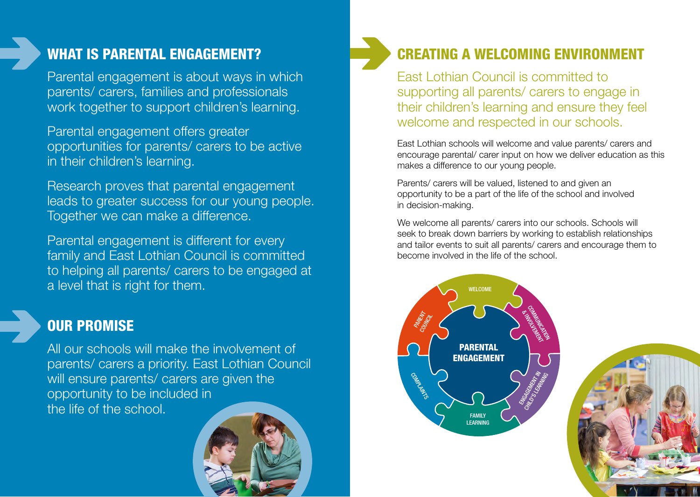#### WHAT IS PARENTAL ENGAGEMENT?

Parental engagement is about ways in which parents/ carers, families and professionals work together to support children's learning.

Parental engagement offers greater opportunities for parents/ carers to be active in their children's learning.

Research proves that parental engagement leads to greater success for our young people. Together we can make a difference.

Parental engagement is different for every family and East Lothian Council is committed to helping all parents/ carers to be engaged at a level that is right for them.

#### OUR PROMISE

All our schools will make the involvement of parents/ carers a priority. East Lothian Council will ensure parents/ carers are given the opportunity to be included in the life of the school.





East Lothian Council is committed to supporting all parents/ carers to engage in their children's learning and ensure they feel welcome and respected in our schools.

East Lothian schools will welcome and value parents/ carers and encourage parental/ carer input on how we deliver education as this makes a difference to our young people.

Parents/ carers will be valued, listened to and given an opportunity to be a part of the life of the school and involved in decision-making.

We welcome all parents/ carers into our schools. Schools will seek to break down barriers by working to establish relationships and tailor events to suit all parents/ carers and encourage them to become involved in the life of the school.



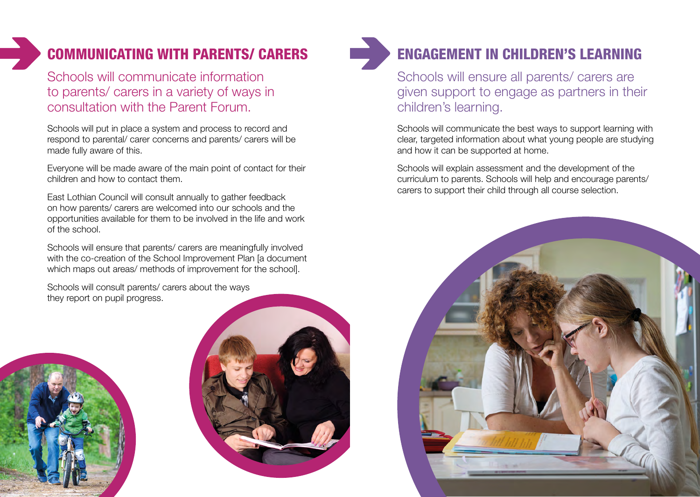## COMMUNICATING WITH PARENTS/ CARERS

Schools will communicate information to parents/ carers in a variety of ways in consultation with the Parent Forum.

Schools will put in place a system and process to record and respond to parental/ carer concerns and parents/ carers will be made fully aware of this.

Everyone will be made aware of the main point of contact for their children and how to contact them.

East Lothian Council will consult annually to gather feedback on how parents/ carers are welcomed into our schools and the opportunities available for them to be involved in the life and work of the school.

Schools will ensure that parents/ carers are meaningfully involved with the co-creation of the School Improvement Plan [a document] which maps out areas/ methods of improvement for the school].

Schools will consult parents/ carers about the ways they report on pupil progress.







## ENGAGEMENT IN CHILDREN'S LEARNING

Schools will ensure all parents/ carers are given support to engage as partners in their children's learning.

Schools will communicate the best ways to support learning with clear, targeted information about what young people are studying and how it can be supported at home.

Schools will explain assessment and the development of the curriculum to parents. Schools will help and encourage parents/ carers to support their child through all course selection.